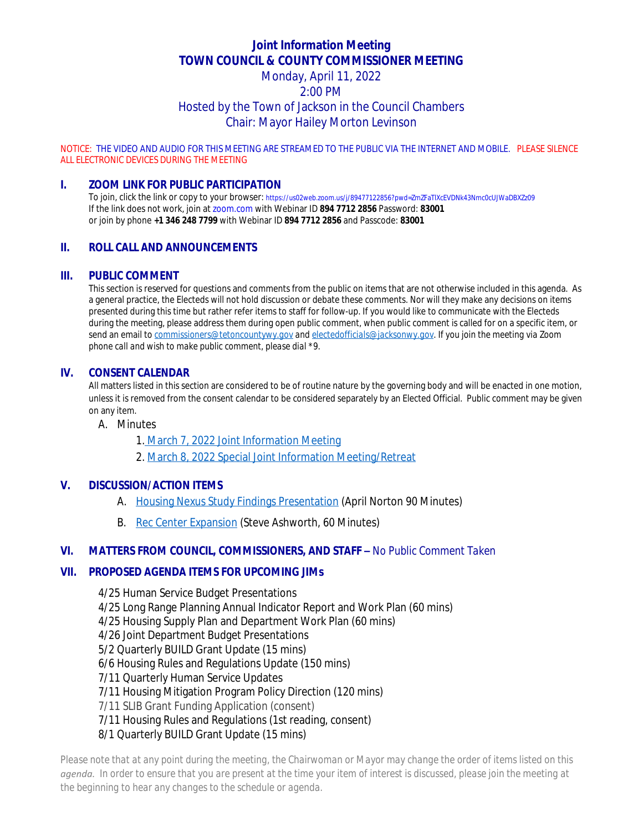# **Joint Information Meeting TOWN COUNCIL & COUNTY COMMISSIONER MEETING**

## Monday, April 11, 2022 2:00 PM Hosted by the Town of Jackson in the Council Chambers Chair: Mayor Hailey Morton Levinson

NOTICE: THE VIDEO AND AUDIO FOR THIS MEETING ARE STREAMED TO THE PUBLIC VIA THE INTERNET AND MOBILE. PLEASE SILENCE ALL ELECTRONIC DEVICES DURING THE MEETING

## **I. ZOOM LINK FOR PUBLIC PARTICIPATION**

To join, click the link or copy to your browser: https://us02web.zoom.us/j/89477122856?pwd=ZmZFaTlXcEVDNk43Nmc0cUJWaDBXZz09 If the link does not work, join at zoom.com with Webinar ID **894 7712 2856** Password: **83001** or join by phone **+1 346 248 7799** with Webinar ID **894 7712 2856** and Passcode: **83001**

## **II. ROLL CALL AND ANNOUNCEMENTS**

#### **III. PUBLIC COMMENT**

This section is reserved for questions and comments from the public on items that are not otherwise included in this agenda. As a general practice, the Electeds will not hold discussion or debate these comments. Nor will they make any decisions on items presented during this time but rather refer items to staff for follow-up. If you would like to communicate with the Electeds during the meeting, please address them during open public comment, when public comment is called for on a specific item, or send an email to *[commissioners@tetoncountywy.gov](mailto:commissioners@tetoncountywy.gov) and [electedofficials@jacksonwy.gov](mailto:electedofficials@jacksonwy.gov). If you join the meeting via Zoom phone call and wish to make public comment, please dial \*9.*

#### **IV. CONSENT CALENDAR**

All matters listed in this section are considered to be of routine nature by the governing body and will be enacted in one motion, unless it is removed from the consent calendar to be considered separately by an Elected Official. Public comment may be given on any item.

A. Minutes

1. [March 7, 2022 Joint Information Meeting](https://tetoncountywy.gov/DocumentCenter/View/21816/03-07-22-JIM-Mins)

[2.](https://tetoncountywy.gov/DocumentCenter/View/21816/03-07-22-JIM-Mins) [March 8, 2022 Special Joint Information Meeting/Retreat](https://tetoncountywy.gov/DocumentCenter/View/21815/03-08-22-JIM-Retreat-Mins)

#### **V. [DISCUSSION/ACTION ITEMS](https://tetoncountywy.gov/DocumentCenter/View/21815/03-08-22-JIM-Retreat-Mins)**

- A. [Housing Nexus Study Findings Presentation](https://tetoncountywy.gov/DocumentCenter/View/21817/0411HNS_Final-Staff-Report-and-Attachments_04112022) (April Norton 90 Minutes)
- B. [Rec Center Expansion \(Steve Ashworth, 60 Minutes\)](https://tetoncountywy.gov/DocumentCenter/View/21818/0411JIMB-Parks-and-Recreation-Scope-of-Work-Award)

## **VI. [MATTERS FROM COUNCIL, COMMISSIONERS, AND STAFF](https://tetoncountywy.gov/DocumentCenter/View/21818/0411JIMB-Parks-and-Recreation-Scope-of-Work-Award) [–](https://tetoncountywy.gov/DocumentCenter/View/21818/0411JIMB-Parks-and-Recreation-Scope-of-Work-Award)** *[No Public Comment Taken](https://tetoncountywy.gov/DocumentCenter/View/21818/0411JIMB-Parks-and-Recreation-Scope-of-Work-Award)*

#### **VII. [PROPOSED AGENDA ITEMS FOR UPCOMING JIMs](https://tetoncountywy.gov/DocumentCenter/View/21818/0411JIMB-Parks-and-Recreation-Scope-of-Work-Award)**

[4/25 Human Service Budget Presentations](https://tetoncountywy.gov/DocumentCenter/View/21818/0411JIMB-Parks-and-Recreation-Scope-of-Work-Award) [4/25 Long Range Planning Annual Indicator Report and Work Plan \(60 mins\)](https://tetoncountywy.gov/DocumentCenter/View/21818/0411JIMB-Parks-and-Recreation-Scope-of-Work-Award) [4/25 Housing Supply Plan and Department Work Plan \(60 mins\)](https://tetoncountywy.gov/DocumentCenter/View/21818/0411JIMB-Parks-and-Recreation-Scope-of-Work-Award) [4/26 Joint Department Budget Presentations](https://tetoncountywy.gov/DocumentCenter/View/21818/0411JIMB-Parks-and-Recreation-Scope-of-Work-Award) [5/2 Quarterly BUILD Grant Update \(15 mins\)](https://tetoncountywy.gov/DocumentCenter/View/21818/0411JIMB-Parks-and-Recreation-Scope-of-Work-Award) [6/6 Housing Rules and Regulations Update \(150 mins\)](https://tetoncountywy.gov/DocumentCenter/View/21818/0411JIMB-Parks-and-Recreation-Scope-of-Work-Award) [7/11 Quarterly Human Service Updates](https://tetoncountywy.gov/DocumentCenter/View/21818/0411JIMB-Parks-and-Recreation-Scope-of-Work-Award) [7/11 Housing Mitigation Program Policy Direction \(120 mins\)](https://tetoncountywy.gov/DocumentCenter/View/21818/0411JIMB-Parks-and-Recreation-Scope-of-Work-Award) [7/11 SLIB Grant Funding Application \(consent\)](https://tetoncountywy.gov/DocumentCenter/View/21818/0411JIMB-Parks-and-Recreation-Scope-of-Work-Award) [7/11 Housing Rules and Regulations \(1st reading, consent\)](https://tetoncountywy.gov/DocumentCenter/View/21818/0411JIMB-Parks-and-Recreation-Scope-of-Work-Award)

[8/1 Quarterly BUILD Grant Update \(15 mins\)](https://tetoncountywy.gov/DocumentCenter/View/21818/0411JIMB-Parks-and-Recreation-Scope-of-Work-Award)

*Please note that at any point during the meeting, the Chairwoman or Mayor may change the order of items listed on this agenda. In order to ensure that you are present at the time your item of interest is discussed, please join the meeting at the beginning to hear any changes to the schedule or agenda.*